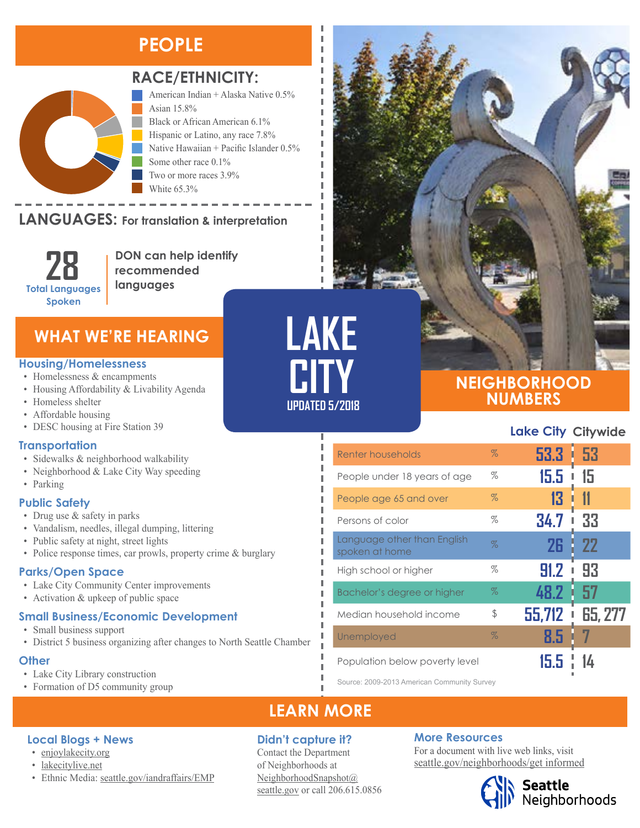### **PEOPLE**



### **RACE/ETHNICITY:**

American Indian + Alaska Native 0.5% Asian 15.8% Black or African American 6.1% Hispanic or Latino, any race 7.8% Native Hawaiian + Pacific Islander 0.5% Some other race 0.1% Two or more races 3.9% White 65.3%

### **LANGUAGES:** For translation & interpretation



**DON can help identify recommended languages**

### **WHAT WE'RE HEARING**

#### **Housing/Homelessness**

- Homelessness & encampments
- Housing Affordability & Livability Agenda
- Homeless shelter
- Affordable housing
- DESC housing at Fire Station 39

#### **Transportation**

- Sidewalks & neighborhood walkability
- Neighborhood & Lake City Way speeding
- Parking

#### **Public Safety**

- Drug use & safety in parks
- Vandalism, needles, illegal dumping, littering
- Public safety at night, street lights
- Police response times, car prowls, property crime & burglary

### **Parks/Open Space**

- Lake City Community Center improvements
- Activation & upkeep of public space

#### **Small Business/Economic Development**

- Small business support
- District 5 business organizing after changes to North Seattle Chamber

#### **Other**

• Lake City Library construction

**Local Blogs + News** • [enjoylakecity.org](https://enjoylakecity.org/) • [lakecitylive.net](http://lakecitylive.net/)

• Formation of D5 community group

## **LAKE CITY UPDATED 5/2018**

л I

Л л

### **NEIGHBORHOOD NUMBERS**

### **Lake City Citywide**

| Renter households                             | $\%$ | $53.3 + 53$ |           |
|-----------------------------------------------|------|-------------|-----------|
| People under 18 years of age                  | %    | 15.5        | 15        |
| People age 65 and over                        | $\%$ | 13          | 11        |
| Persons of color                              | $\%$ | 34.7        | 33        |
| Language other than English<br>spoken at home | $\%$ | 26          | <b>22</b> |
| High school or higher                         | %    | 91.2        | 93        |
| Bachelor's degree or higher                   | $\%$ | 48.2        | 57        |
| Median household income                       | \$   | 55,712<br>I | 65, 277   |
| Unemployed                                    | $\%$ | 8.5         |           |
| Population below poverty level                |      | ת ח         |           |

Source: 2009-2013 American Community Survey

### **LEARN MORE**

### **Didn't capture it?**

Contact the Department of Neighborhoods at [NeighborhoodSnapshot@](mailto:NeighborhoodSnapshot%40%0Aseattle.gov?subject=) [seattle.gov](mailto:NeighborhoodSnapshot%40%0Aseattle.gov?subject=) or call 206.615.0856

### **More Resources**

For a document with live web links, visit [seattle.gov/neighborhoods/get informed](http://www.seattle.gov/neighborhoods/neighborhoods-and-districts)

# Seattle<br>Neighborhoods

#### • Ethnic Media: [seattle.gov/iandraffairs/EMP](http://www.seattle.gov/iandraffairs/EMP)